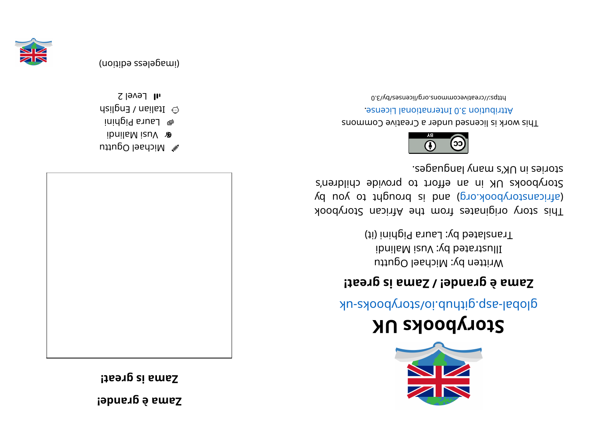**! ednar g è <sup>a</sup> maZ**

**! <sup>t</sup> aer gsi <sup>a</sup> maZ**



 $\mathbb Z$  Michael Oguttu ibnil a Malindi  $i$ i ni di Pighini  $\odot$  ltalian / English



(imageless edition)

 $I$ l Fevel 2



## **KUskoobyr otS**

glops- skoodyots/oi.duntip.qss-ladolg

## **! <sup>t</sup> aer gsi <sup>a</sup> maZ/ ! ednar g è <sup>a</sup> maZ**

Written by: Michael Oguttu  $i$ i ji na mana sa Mali ng manang sa Pananang Barat sa Pananang Barat sa Pananang Barat sa Pananang Barat sa Pananang Barat sa Pananang Barat sa Pananang Barat sa Pananang Barat sa Pananang Barat sa Pananang Barat sa Pana Translated by: Laura Pighini (it)

kood yoof a sing in and work set and work sid and a single single single single single single single (d uoy ot tripuor ai bna (pro. koodynotanaith) Storybooks UK in an effort to provide children's stories in UK's many languages.



This work is licensed under a Creative Commons . esnecial lanoit and the change.

bttps://creativecommons.org/licenses/by/3.0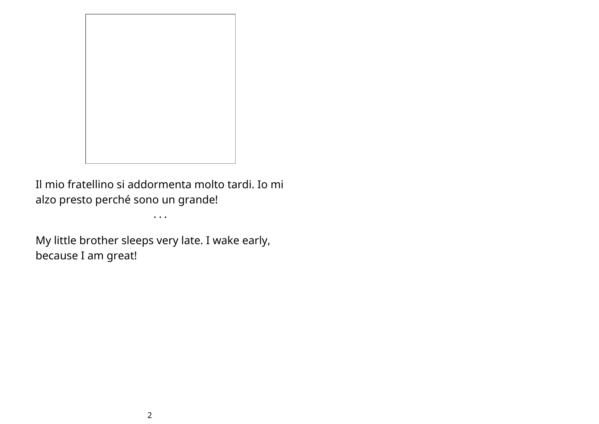

Il mio fratellino si addormenta molto tardi. Io mi alzo presto perché sono un grande!

• • •

My little brother sleeps very late. I wake early, because I am great!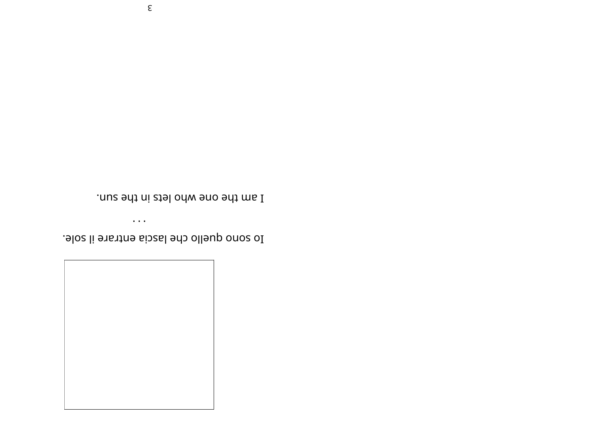

Io sono quello che lascia entrare il sole.

 $\bullet$   $\bullet$   $\bullet$ 

I am the one who lets in the sun.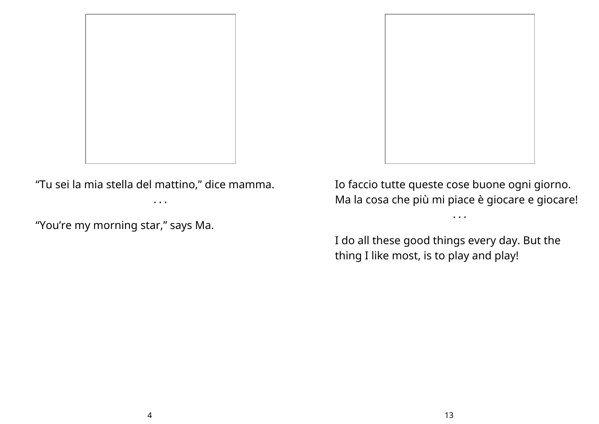

"Tu sei la mia stella del mattino, " dice mamma.

• • •

"You're my morning star, " says Ma.



Io faccio tutte queste cose buone ogni giorno. Ma la cosa che più mi piace è giocare e giocare!

• • •

I do all these good things every day. But the thing I like most, is to play and play!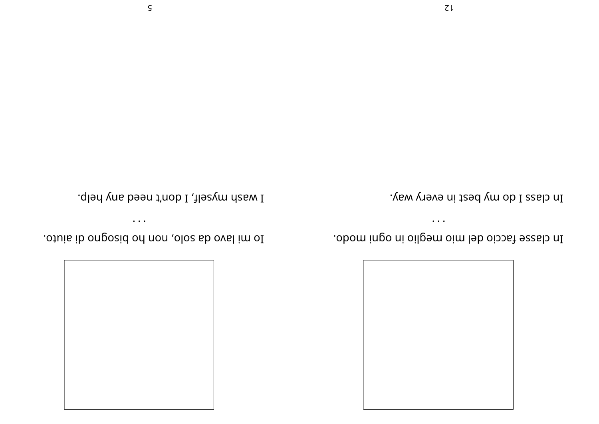

In classe faccio del mio meglio in ogni modo.

 $\bullet$   $\bullet$   $\bullet$ 

In class I do my best in every way.

I wash myself, I don't need any help.

 $\bullet\,\bullet\,\bullet$ 

othis ib ongosid on non ,olos ab oval im oI.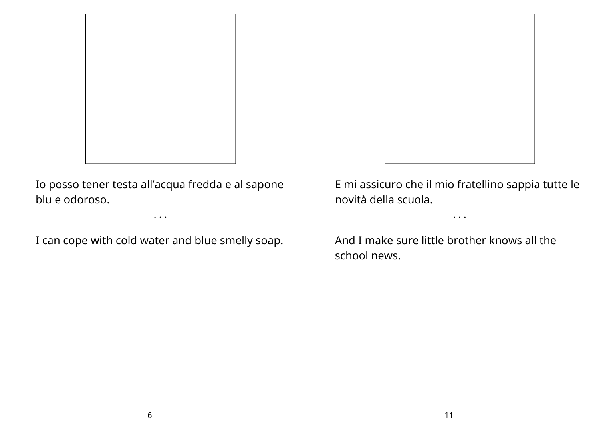

Io posso tener testa all'acqua fredda e al sapone blu e odoroso.

• • •

I can cope with cold water and blue smelly soap.



E mi assicuro che il mio fratellino sappia tutte le novità della scuola.

• • •

And I make sure little brother knows all the school news.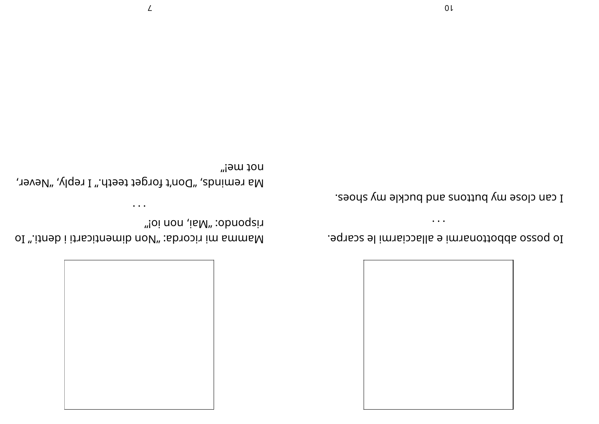

. Apposed appottonarmi e allacciarmi le scarpe.

 $\bullet$  ,  $\bullet$  ,  $\bullet$ 

I can close my buttons and buckle my shoes.

not mei" Ma reminds, "Don't forget teeth." I reply, "Never,

 $\bullet$   $\bullet$   $\bullet$ 

Imenticarti is not all menticarti i denti." Io

"ioi non ,iaM" :obnoqzi1